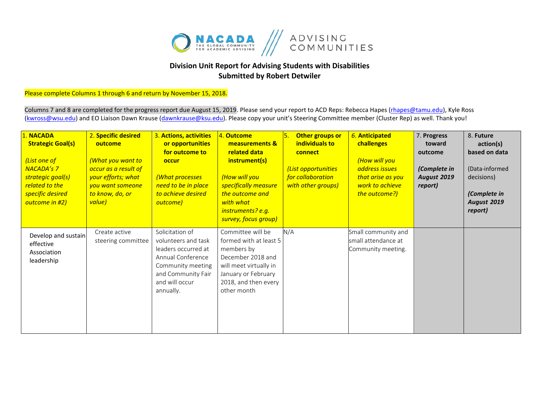

## **Division Unit Report for Advising Students with Disabilities Submitted by Robert Detwiler**

## Please complete Columns 1 through 6 and return by November 15, 2018.

Columns 7 and 8 are completed for the progress report due August 15, 2019. Please send your report to ACD Reps: Rebecca Hapes (rhapes@tamu.edu), Kyle Ross [\(kwross@wsu.edu\)](mailto:kwross@wsu.edu) and EO Liaison Dawn Krause (dawnkrause@ksu.edu). Please copy your unit's Steering Committee member (Cluster Rep) as well. Thank you!

| 1. NACADA<br><b>Strategic Goal(s)</b><br>(List one of<br><b>NACADA's 7</b><br>strategic goal(s)<br>related to the<br>specific desired<br>outcome in #2) | 2. Specific desired<br>outcome<br>(What you want to<br>occur as a result of<br>your efforts; what<br>you want someone<br>to know, do, or<br>value) | 3. Actions, activities<br>or opportunities<br>for outcome to<br>occur<br>(What processes<br>need to be in place<br>to achieve desired<br>outcome)            | 4. Outcome<br>measurements &<br>related data<br>instrument(s)<br>(How will you<br>specifically measure<br>the outcome and<br>with what<br>instruments? e.g.<br>survey, focus group) | ١5.<br>Other groups or<br>individuals to<br>connect<br>(List opportunities<br>for collaboration<br>with other groups) | 6. Anticipated<br>challenges<br>(How will you<br>address issues<br>that arise as you<br>work to achieve<br>the outcome?) | 7. Progress<br>toward<br>outcome<br>(Complete in<br><b>August 2019</b><br>report) | 8. Future<br>action(s)<br>based on data<br>(Data-informed<br>decisions)<br>(Complete in<br>August 2019<br>report) |
|---------------------------------------------------------------------------------------------------------------------------------------------------------|----------------------------------------------------------------------------------------------------------------------------------------------------|--------------------------------------------------------------------------------------------------------------------------------------------------------------|-------------------------------------------------------------------------------------------------------------------------------------------------------------------------------------|-----------------------------------------------------------------------------------------------------------------------|--------------------------------------------------------------------------------------------------------------------------|-----------------------------------------------------------------------------------|-------------------------------------------------------------------------------------------------------------------|
| Develop and sustain<br>effective<br>Association<br>leadership                                                                                           | Create active<br>steering committee                                                                                                                | Solicitation of<br>volunteers and task<br>leaders occurred at<br>Annual Conference<br>Community meeting<br>and Community Fair<br>and will occur<br>annually. | Committee will be<br>formed with at least 5<br>members by<br>December 2018 and<br>will meet virtually in<br>January or February<br>2018, and then every<br>other month              | N/A                                                                                                                   | Small community and<br>small attendance at<br>Community meeting.                                                         |                                                                                   |                                                                                                                   |